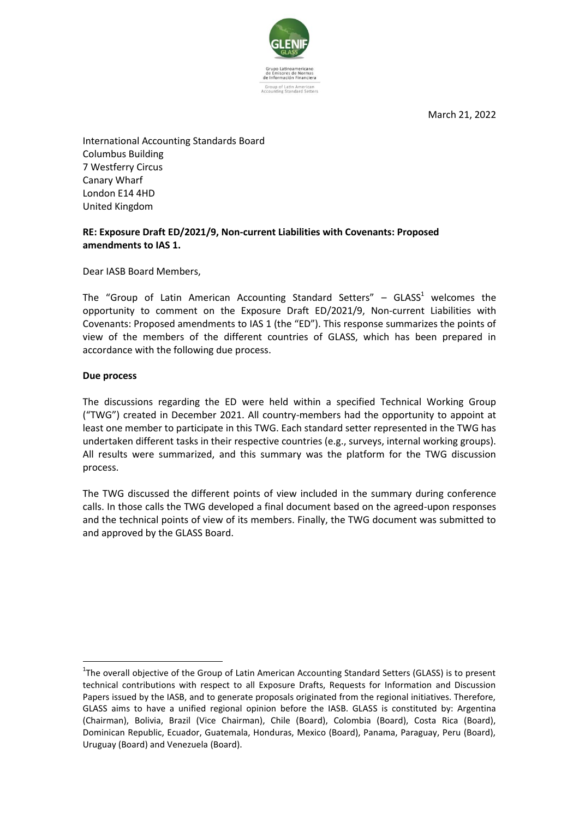

March 21, 2022

International Accounting Standards Board Columbus Building 7 Westferry Circus Canary Wharf London E14 4HD United Kingdom

## **RE: Exposure Draft ED/2021/9, Non-current Liabilities with Covenants: Proposed amendments to IAS 1.**

Dear IASB Board Members,

The "Group of Latin American Accounting Standard Setters"  $-$  GLASS<sup>1</sup> welcomes the opportunity to comment on the Exposure Draft ED/2021/9, Non-current Liabilities with Covenants: Proposed amendments to IAS 1 (the "ED"). This response summarizes the points of view of the members of the different countries of GLASS, which has been prepared in accordance with the following due process.

### **Due process**

1

The discussions regarding the ED were held within a specified Technical Working Group ("TWG") created in December 2021. All country-members had the opportunity to appoint at least one member to participate in this TWG. Each standard setter represented in the TWG has undertaken different tasks in their respective countries (e.g., surveys, internal working groups). All results were summarized, and this summary was the platform for the TWG discussion process.

The TWG discussed the different points of view included in the summary during conference calls. In those calls the TWG developed a final document based on the agreed-upon responses and the technical points of view of its members. Finally, the TWG document was submitted to and approved by the GLASS Board.

<sup>&</sup>lt;sup>1</sup>The overall objective of the Group of Latin American Accounting Standard Setters (GLASS) is to present technical contributions with respect to all Exposure Drafts, Requests for Information and Discussion Papers issued by the IASB, and to generate proposals originated from the regional initiatives. Therefore, GLASS aims to have a unified regional opinion before the IASB. GLASS is constituted by: Argentina (Chairman), Bolivia, Brazil (Vice Chairman), Chile (Board), Colombia (Board), Costa Rica (Board), Dominican Republic, Ecuador, Guatemala, Honduras, Mexico (Board), Panama, Paraguay, Peru (Board), Uruguay (Board) and Venezuela (Board).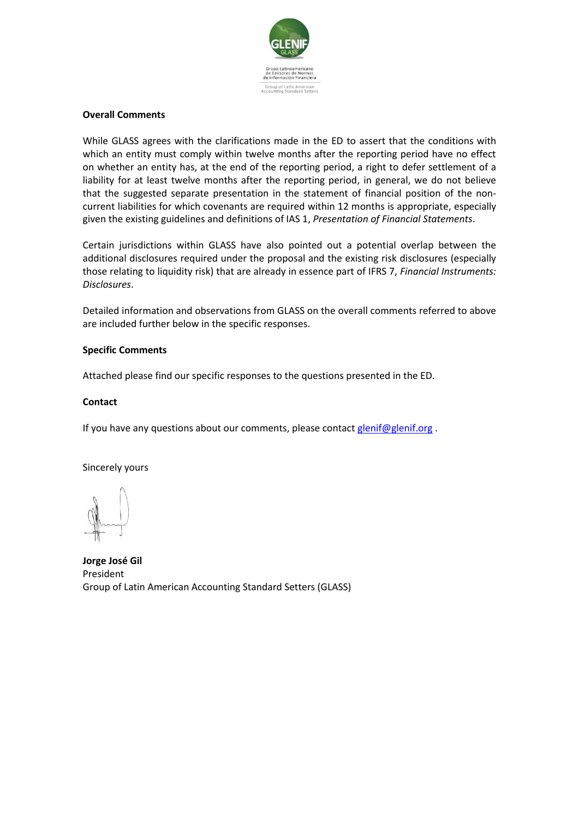

### **Overall Comments**

While GLASS agrees with the clarifications made in the ED to assert that the conditions with which an entity must comply within twelve months after the reporting period have no effect on whether an entity has, at the end of the reporting period, a right to defer settlement of a liability for at least twelve months after the reporting period, in general, we do not believe that the suggested separate presentation in the statement of financial position of the noncurrent liabilities for which covenants are required within 12 months is appropriate, especially given the existing guidelines and definitions of IAS 1, *Presentation of Financial Statements*.

Certain jurisdictions within GLASS have also pointed out a potential overlap between the additional disclosures required under the proposal and the existing risk disclosures (especially those relating to liquidity risk) that are already in essence part of IFRS 7, *Financial Instruments: Disclosures*.

Detailed information and observations from GLASS on the overall comments referred to above are included further below in the specific responses.

### **Specific Comments**

Attached please find our specific responses to the questions presented in the ED.

### **Contact**

If you have any questions about our comments, please contac[t glenif@glenif.org](mailto:glenif@glenif.org) .

Sincerely yours

**Jorge José Gil** President Group of Latin American Accounting Standard Setters (GLASS)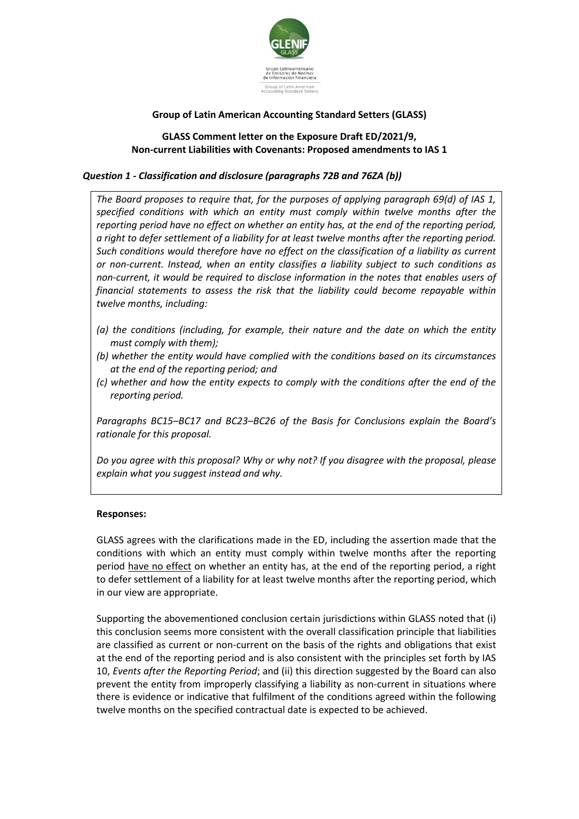

# **Group of Latin American Accounting Standard Setters (GLASS)**

## **GLASS Comment letter on the Exposure Draft ED/2021/9, Non-current Liabilities with Covenants: Proposed amendments to IAS 1**

## *Question 1 - Classification and disclosure (paragraphs 72B and 76ZA (b))*

*The Board proposes to require that, for the purposes of applying paragraph 69(d) of IAS 1, specified conditions with which an entity must comply within twelve months after the reporting period have no effect on whether an entity has, at the end of the reporting period, a right to defer settlement of a liability for at least twelve months after the reporting period. Such conditions would therefore have no effect on the classification of a liability as current or non-current. Instead, when an entity classifies a liability subject to such conditions as non-current, it would be required to disclose information in the notes that enables users of financial statements to assess the risk that the liability could become repayable within twelve months, including:*

- *(a) the conditions (including, for example, their nature and the date on which the entity must comply with them);*
- *(b) whether the entity would have complied with the conditions based on its circumstances at the end of the reporting period; and*
- *(c) whether and how the entity expects to comply with the conditions after the end of the reporting period.*

*Paragraphs BC15–BC17 and BC23–BC26 of the Basis for Conclusions explain the Board's rationale for this proposal.*

*Do you agree with this proposal? Why or why not? If you disagree with the proposal, please explain what you suggest instead and why.*

### **Responses:**

GLASS agrees with the clarifications made in the ED, including the assertion made that the conditions with which an entity must comply within twelve months after the reporting period have no effect on whether an entity has, at the end of the reporting period, a right to defer settlement of a liability for at least twelve months after the reporting period, which in our view are appropriate.

Supporting the abovementioned conclusion certain jurisdictions within GLASS noted that (i) this conclusion seems more consistent with the overall classification principle that liabilities are classified as current or non-current on the basis of the rights and obligations that exist at the end of the reporting period and is also consistent with the principles set forth by IAS 10, *Events after the Reporting Period*; and (ii) this direction suggested by the Board can also prevent the entity from improperly classifying a liability as non-current in situations where there is evidence or indicative that fulfilment of the conditions agreed within the following twelve months on the specified contractual date is expected to be achieved.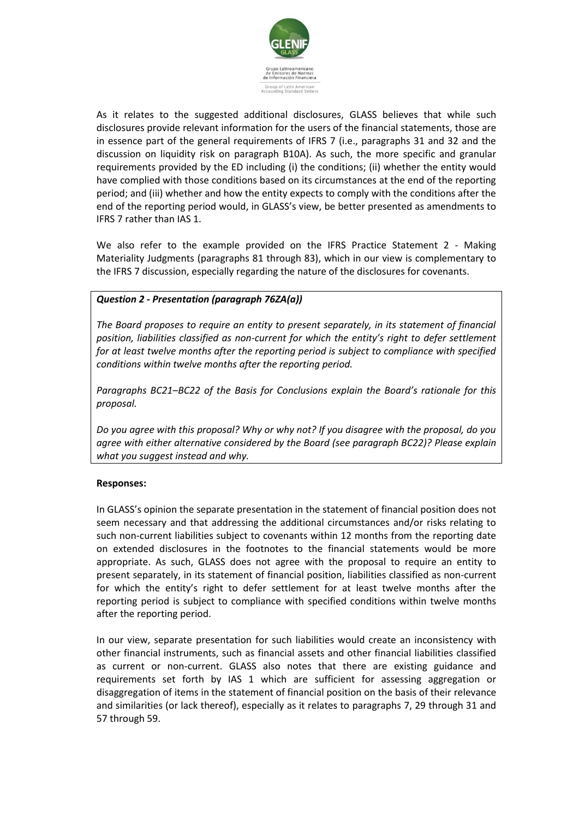

As it relates to the suggested additional disclosures, GLASS believes that while such disclosures provide relevant information for the users of the financial statements, those are in essence part of the general requirements of IFRS 7 (i.e., paragraphs 31 and 32 and the discussion on liquidity risk on paragraph B10A). As such, the more specific and granular requirements provided by the ED including (i) the conditions; (ii) whether the entity would have complied with those conditions based on its circumstances at the end of the reporting period; and (iii) whether and how the entity expects to comply with the conditions after the end of the reporting period would, in GLASS's view, be better presented as amendments to IFRS 7 rather than IAS 1.

We also refer to the example provided on the IFRS Practice Statement 2 - Making Materiality Judgments (paragraphs 81 through 83), which in our view is complementary to the IFRS 7 discussion, especially regarding the nature of the disclosures for covenants.

## *Question 2 - Presentation (paragraph 76ZA(a))*

*The Board proposes to require an entity to present separately, in its statement of financial position, liabilities classified as non-current for which the entity's right to defer settlement for at least twelve months after the reporting period is subject to compliance with specified conditions within twelve months after the reporting period.*

*Paragraphs BC21–BC22 of the Basis for Conclusions explain the Board's rationale for this proposal.*

*Do you agree with this proposal? Why or why not? If you disagree with the proposal, do you agree with either alternative considered by the Board (see paragraph BC22)? Please explain what you suggest instead and why.*

### **Responses:**

In GLASS's opinion the separate presentation in the statement of financial position does not seem necessary and that addressing the additional circumstances and/or risks relating to such non-current liabilities subject to covenants within 12 months from the reporting date on extended disclosures in the footnotes to the financial statements would be more appropriate. As such, GLASS does not agree with the proposal to require an entity to present separately, in its statement of financial position, liabilities classified as non-current for which the entity's right to defer settlement for at least twelve months after the reporting period is subject to compliance with specified conditions within twelve months after the reporting period.

In our view, separate presentation for such liabilities would create an inconsistency with other financial instruments, such as financial assets and other financial liabilities classified as current or non-current. GLASS also notes that there are existing guidance and requirements set forth by IAS 1 which are sufficient for assessing aggregation or disaggregation of items in the statement of financial position on the basis of their relevance and similarities (or lack thereof), especially as it relates to paragraphs 7, 29 through 31 and 57 through 59.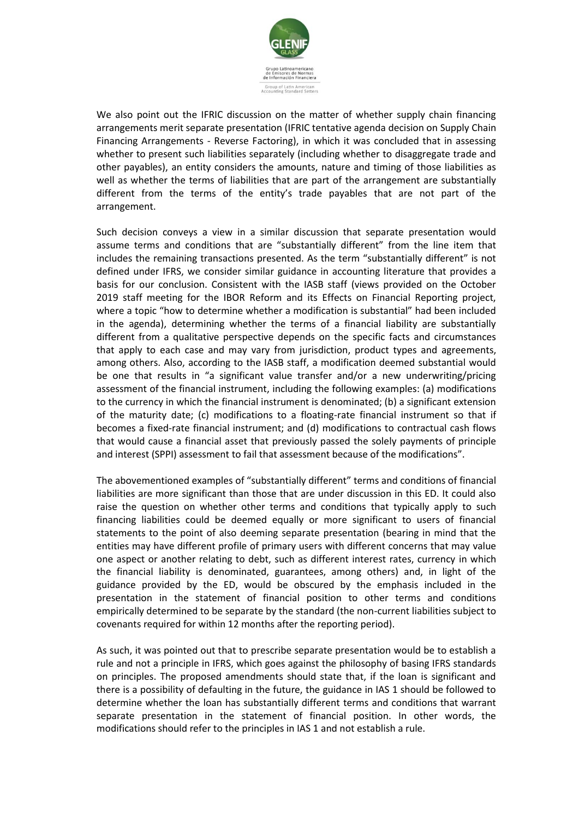

We also point out the IFRIC discussion on the matter of whether supply chain financing arrangements merit separate presentation (IFRIC tentative agenda decision on Supply Chain Financing Arrangements - Reverse Factoring), in which it was concluded that in assessing whether to present such liabilities separately (including whether to disaggregate trade and other payables), an entity considers the amounts, nature and timing of those liabilities as well as whether the terms of liabilities that are part of the arrangement are substantially different from the terms of the entity's trade payables that are not part of the arrangement.

Such decision conveys a view in a similar discussion that separate presentation would assume terms and conditions that are "substantially different" from the line item that includes the remaining transactions presented. As the term "substantially different" is not defined under IFRS, we consider similar guidance in accounting literature that provides a basis for our conclusion. Consistent with the IASB staff (views provided on the October 2019 staff meeting for the IBOR Reform and its Effects on Financial Reporting project, where a topic "how to determine whether a modification is substantial" had been included in the agenda), determining whether the terms of a financial liability are substantially different from a qualitative perspective depends on the specific facts and circumstances that apply to each case and may vary from jurisdiction, product types and agreements, among others. Also, according to the IASB staff, a modification deemed substantial would be one that results in "a significant value transfer and/or a new underwriting/pricing assessment of the financial instrument, including the following examples: (a) modifications to the currency in which the financial instrument is denominated; (b) a significant extension of the maturity date; (c) modifications to a floating-rate financial instrument so that if becomes a fixed-rate financial instrument; and (d) modifications to contractual cash flows that would cause a financial asset that previously passed the solely payments of principle and interest (SPPI) assessment to fail that assessment because of the modifications".

The abovementioned examples of "substantially different" terms and conditions of financial liabilities are more significant than those that are under discussion in this ED. It could also raise the question on whether other terms and conditions that typically apply to such financing liabilities could be deemed equally or more significant to users of financial statements to the point of also deeming separate presentation (bearing in mind that the entities may have different profile of primary users with different concerns that may value one aspect or another relating to debt, such as different interest rates, currency in which the financial liability is denominated, guarantees, among others) and, in light of the guidance provided by the ED, would be obscured by the emphasis included in the presentation in the statement of financial position to other terms and conditions empirically determined to be separate by the standard (the non-current liabilities subject to covenants required for within 12 months after the reporting period).

As such, it was pointed out that to prescribe separate presentation would be to establish a rule and not a principle in IFRS, which goes against the philosophy of basing IFRS standards on principles. The proposed amendments should state that, if the loan is significant and there is a possibility of defaulting in the future, the guidance in IAS 1 should be followed to determine whether the loan has substantially different terms and conditions that warrant separate presentation in the statement of financial position. In other words, the modifications should refer to the principles in IAS 1 and not establish a rule.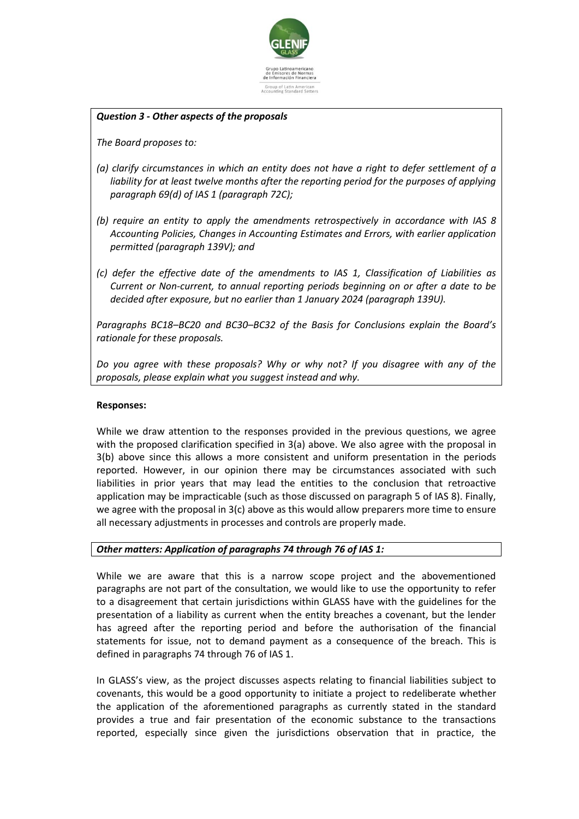

### *Question 3 - Other aspects of the proposals*

*The Board proposes to:*

- *(a) clarify circumstances in which an entity does not have a right to defer settlement of a liability for at least twelve months after the reporting period for the purposes of applying paragraph 69(d) of IAS 1 (paragraph 72C);*
- *(b) require an entity to apply the amendments retrospectively in accordance with IAS 8 Accounting Policies, Changes in Accounting Estimates and Errors, with earlier application permitted (paragraph 139V); and*
- *(c) defer the effective date of the amendments to IAS 1, Classification of Liabilities as Current or Non-current, to annual reporting periods beginning on or after a date to be decided after exposure, but no earlier than 1 January 2024 (paragraph 139U).*

*Paragraphs BC18–BC20 and BC30–BC32 of the Basis for Conclusions explain the Board's rationale for these proposals.*

*Do you agree with these proposals? Why or why not? If you disagree with any of the proposals, please explain what you suggest instead and why.*

### **Responses:**

While we draw attention to the responses provided in the previous questions, we agree with the proposed clarification specified in 3(a) above. We also agree with the proposal in 3(b) above since this allows a more consistent and uniform presentation in the periods reported. However, in our opinion there may be circumstances associated with such liabilities in prior years that may lead the entities to the conclusion that retroactive application may be impracticable (such as those discussed on paragraph 5 of IAS 8). Finally, we agree with the proposal in 3(c) above as this would allow preparers more time to ensure all necessary adjustments in processes and controls are properly made.

### *Other matters: Application of paragraphs 74 through 76 of IAS 1:*

While we are aware that this is a narrow scope project and the abovementioned paragraphs are not part of the consultation, we would like to use the opportunity to refer to a disagreement that certain jurisdictions within GLASS have with the guidelines for the presentation of a liability as current when the entity breaches a covenant, but the lender has agreed after the reporting period and before the authorisation of the financial statements for issue, not to demand payment as a consequence of the breach. This is defined in paragraphs 74 through 76 of IAS 1.

In GLASS's view, as the project discusses aspects relating to financial liabilities subject to covenants, this would be a good opportunity to initiate a project to redeliberate whether the application of the aforementioned paragraphs as currently stated in the standard provides a true and fair presentation of the economic substance to the transactions reported, especially since given the jurisdictions observation that in practice, the